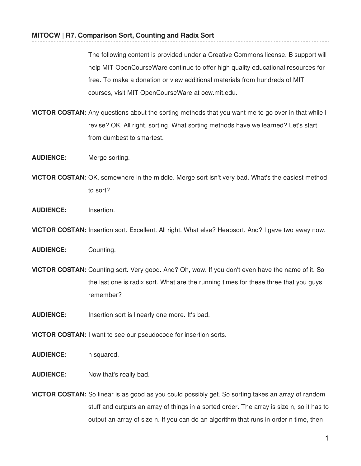The following content is provided under a Creative Commons license. B support will help MIT OpenCourseWare continue to offer high quality educational resources for free. To make a donation or view additional materials from hundreds of MIT courses, visit MIT OpenCourseWare at ocw.mit.edu.

- **VICTOR COSTAN:** Any questions about the sorting methods that you want me to go over in that while I revise? OK. All right, sorting. What sorting methods have we learned? Let's start from dumbest to smartest.
- **AUDIENCE:** Merge sorting.
- **VICTOR COSTAN:** OK, somewhere in the middle. Merge sort isn't very bad. What's the easiest method to sort?
- **AUDIENCE:** Insertion.
- **VICTOR COSTAN:** Insertion sort. Excellent. All right. What else? Heapsort. And? I gave two away now.
- **AUDIENCE:** Counting.
- **VICTOR COSTAN:** Counting sort. Very good. And? Oh, wow. If you don't even have the name of it. So the last one is radix sort. What are the running times for these three that you guys remember?
- **AUDIENCE:** Insertion sort is linearly one more. It's bad.
- **VICTOR COSTAN:** I want to see our pseudocode for insertion sorts.
- AUDIENCE: n squared.
- **AUDIENCE:** Now that's really bad.
- **VICTOR COSTAN:** So linear is as good as you could possibly get. So sorting takes an array of random stuff and outputs an array of things in a sorted order. The array is size n, so it has to output an array of size n. If you can do an algorithm that runs in order n time, then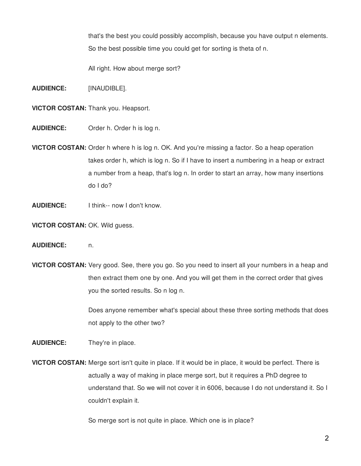that's the best you could possibly accomplish, because you have output n elements. So the best possible time you could get for sorting is theta of n.

All right. How about merge sort?

- **AUDIENCE:** [INAUDIBLE].
- **VICTOR COSTAN:** Thank you. Heapsort.
- **AUDIENCE:** Order h. Order h is log n.
- **VICTOR COSTAN:** Order h where h is log n. OK. And you're missing a factor. So a heap operation takes order h, which is log n. So if I have to insert a numbering in a heap or extract a number from a heap, that's log n. In order to start an array, how many insertions do I do?
- **AUDIENCE:** I think-- now I don't know.
- **VICTOR COSTAN:** OK. Wild guess.
- **AUDIENCE:** n.
- **VICTOR COSTAN:** Very good. See, there you go. So you need to insert all your numbers in a heap and then extract them one by one. And you will get them in the correct order that gives you the sorted results. So n log n.

Does anyone remember what's special about these three sorting methods that does not apply to the other two?

**AUDIENCE:** They're in place.

**VICTOR COSTAN:** Merge sort isn't quite in place. If it would be in place, it would be perfect. There is actually a way of making in place merge sort, but it requires a PhD degree to understand that. So we will not cover it in 6006, because I do not understand it. So I couldn't explain it.

So merge sort is not quite in place. Which one is in place?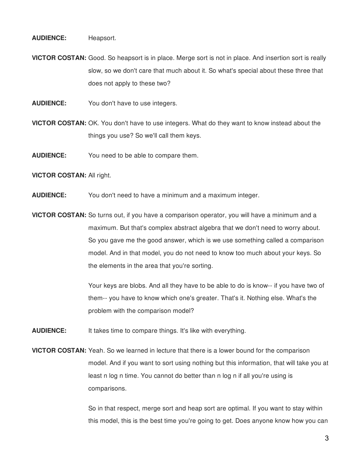#### **AUDIENCE:** Heapsort.

**VICTOR COSTAN:** Good. So heapsort is in place. Merge sort is not in place. And insertion sort is really slow, so we don't care that much about it. So what's special about these three that does not apply to these two?

**AUDIENCE:** You don't have to use integers.

**VICTOR COSTAN:** OK. You don't have to use integers. What do they want to know instead about the things you use? So we'll call them keys.

**AUDIENCE:** You need to be able to compare them.

# **VICTOR COSTAN:** All right.

**AUDIENCE:** You don't need to have a minimum and a maximum integer.

**VICTOR COSTAN:** So turns out, if you have a comparison operator, you will have a minimum and a maximum. But that's complex abstract algebra that we don't need to worry about. So you gave me the good answer, which is we use something called a comparison model. And in that model, you do not need to know too much about your keys. So the elements in the area that you're sorting.

> Your keys are blobs. And all they have to be able to do is know-- if you have two of them-- you have to know which one's greater. That's it. Nothing else. What's the problem with the comparison model?

**AUDIENCE:** It takes time to compare things. It's like with everything.

**VICTOR COSTAN:** Yeah. So we learned in lecture that there is a lower bound for the comparison model. And if you want to sort using nothing but this information, that will take you at least n log n time. You cannot do better than n log n if all you're using is comparisons.

> So in that respect, merge sort and heap sort are optimal. If you want to stay within this model, this is the best time you're going to get. Does anyone know how you can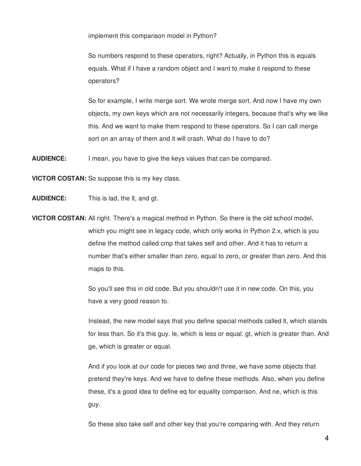implement this comparison model in Python?

So numbers respond to these operators, right? Actually, in Python this is equals equals. What if I have a random object and I want to make it respond to these operators?

So for example, I write merge sort. We wrote merge sort. And now I have my own objects, my own keys which are not necessarily integers, because that's why we like this. And we want to make them respond to these operators. So I can call merge sort on an array of them and it will crash. What do I have to do?

**AUDIENCE:** I mean, you have to give the keys values that can be compared.

**VICTOR COSTAN:** So suppose this is my key class.

**AUDIENCE:** This is lad, the lt, and gt.

**VICTOR COSTAN:** All right. There's a magical method in Python. So there is the old school model, which you might see in legacy code, which only works in Python 2.x, which is you define the method called cmp that takes self and other. And it has to return a number that's either smaller than zero, equal to zero, or greater than zero. And this maps to this.

> So you'll see this in old code. But you shouldn't use it in new code. On this, you have a very good reason to.

Instead, the new model says that you define special methods called lt, which stands for less than. So it's this guy. le, which is less or equal. gt, which is greater than. And ge, which is greater or equal.

And if you look at our code for pieces two and three, we have some objects that pretend they're keys. And we have to define these methods. Also, when you define these, it's a good idea to define eq for equality comparison. And ne, which is this guy.

So these also take self and other key that you're comparing with. And they return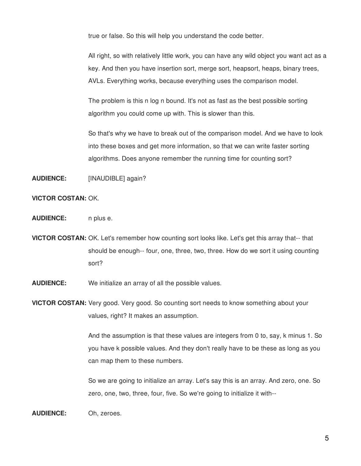true or false. So this will help you understand the code better.

All right, so with relatively little work, you can have any wild object you want act as a key. And then you have insertion sort, merge sort, heapsort, heaps, binary trees, AVLs. Everything works, because everything uses the comparison model.

The problem is this n log n bound. It's not as fast as the best possible sorting algorithm you could come up with. This is slower than this.

So that's why we have to break out of the comparison model. And we have to look into these boxes and get more information, so that we can write faster sorting algorithms. Does anyone remember the running time for counting sort?

**AUDIENCE:** [INAUDIBLE] again?

#### **VICTOR COSTAN:** OK.

**AUDIENCE:** n plus e.

- **VICTOR COSTAN:** OK. Let's remember how counting sort looks like. Let's get this array that-- that should be enough-- four, one, three, two, three. How do we sort it using counting sort?
- **AUDIENCE:** We initialize an array of all the possible values.
- **VICTOR COSTAN:** Very good. Very good. So counting sort needs to know something about your values, right? It makes an assumption.

And the assumption is that these values are integers from 0 to, say, k minus 1. So you have k possible values. And they don't really have to be these as long as you can map them to these numbers.

So we are going to initialize an array. Let's say this is an array. And zero, one. So zero, one, two, three, four, five. So we're going to initialize it with--

**AUDIENCE:** Oh, zeroes.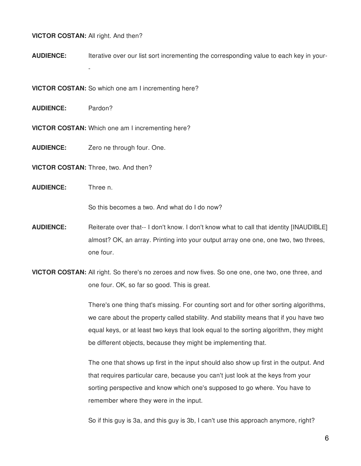## **VICTOR COSTAN:** All right. And then?

-

**AUDIENCE:** Iterative over our list sort incrementing the corresponding value to each key in your-

**VICTOR COSTAN:** So which one am I incrementing here?

**AUDIENCE:** Pardon?

**VICTOR COSTAN:** Which one am I incrementing here?

**AUDIENCE:** Zero ne through four. One.

**VICTOR COSTAN:** Three, two. And then?

**AUDIENCE:** Three n.

So this becomes a two. And what do I do now?

- **AUDIENCE:** Reiterate over that-- I don't know. I don't know what to call that identity [INAUDIBLE] almost? OK, an array. Printing into your output array one one, one two, two threes, one four.
- **VICTOR COSTAN:** All right. So there's no zeroes and now fives. So one one, one two, one three, and one four. OK, so far so good. This is great.

There's one thing that's missing. For counting sort and for other sorting algorithms, we care about the property called stability. And stability means that if you have two equal keys, or at least two keys that look equal to the sorting algorithm, they might be different objects, because they might be implementing that.

The one that shows up first in the input should also show up first in the output. And that requires particular care, because you can't just look at the keys from your sorting perspective and know which one's supposed to go where. You have to remember where they were in the input.

So if this guy is 3a, and this guy is 3b, I can't use this approach anymore, right?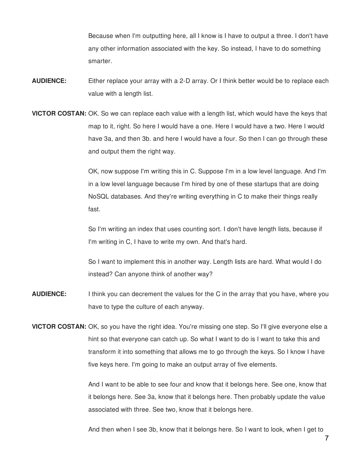Because when I'm outputting here, all I know is I have to output a three. I don't have any other information associated with the key. So instead, I have to do something smarter.

- **AUDIENCE:** Either replace your array with a 2-D array. Or I think better would be to replace each value with a length list.
- **VICTOR COSTAN:** OK. So we can replace each value with a length list, which would have the keys that map to it, right. So here I would have a one. Here I would have a two. Here I would have 3a, and then 3b. and here I would have a four. So then I can go through these and output them the right way.

OK, now suppose I'm writing this in C. Suppose I'm in a low level language. And I'm in a low level language because I'm hired by one of these startups that are doing NoSQL databases. And they're writing everything in C to make their things really fast.

So I'm writing an index that uses counting sort. I don't have length lists, because if I'm writing in C, I have to write my own. And that's hard.

So I want to implement this in another way. Length lists are hard. What would I do instead? Can anyone think of another way?

- **AUDIENCE:** I think you can decrement the values for the C in the array that you have, where you have to type the culture of each anyway.
- **VICTOR COSTAN:** OK, so you have the right idea. You're missing one step. So I'll give everyone else a hint so that everyone can catch up. So what I want to do is I want to take this and transform it into something that allows me to go through the keys. So I know I have five keys here. I'm going to make an output array of five elements.

And I want to be able to see four and know that it belongs here. See one, know that it belongs here. See 3a, know that it belongs here. Then probably update the value associated with three. See two, know that it belongs here.

And then when I see 3b, know that it belongs here. So I want to look, when I get to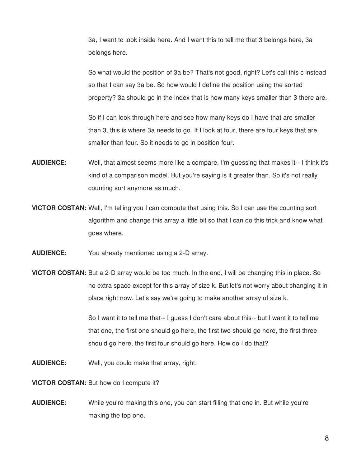3a, I want to look inside here. And I want this to tell me that 3 belongs here, 3a belongs here.

So what would the position of 3a be? That's not good, right? Let's call this c instead so that I can say 3a be. So how would I define the position using the sorted property? 3a should go in the index that is how many keys smaller than 3 there are.

So if I can look through here and see how many keys do I have that are smaller than 3, this is where 3a needs to go. If I look at four, there are four keys that are smaller than four. So it needs to go in position four.

- **AUDIENCE:** Well, that almost seems more like a compare. I'm guessing that makes it-- I think it's kind of a comparison model. But you're saying is it greater than. So it's not really counting sort anymore as much.
- **VICTOR COSTAN:** Well, I'm telling you I can compute that using this. So I can use the counting sort algorithm and change this array a little bit so that I can do this trick and know what goes where.
- **AUDIENCE:** You already mentioned using a 2-D array.
- **VICTOR COSTAN:** But a 2-D array would be too much. In the end, I will be changing this in place. So no extra space except for this array of size k. But let's not worry about changing it in place right now. Let's say we're going to make another array of size k.

So I want it to tell me that-- I guess I don't care about this-- but I want it to tell me that one, the first one should go here, the first two should go here, the first three should go here, the first four should go here. How do I do that?

**AUDIENCE:** Well, you could make that array, right.

**VICTOR COSTAN:** But how do I compute it?

**AUDIENCE:** While you're making this one, you can start filling that one in. But while you're making the top one.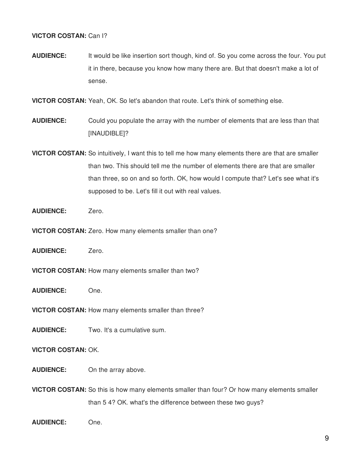# **VICTOR COSTAN:** Can I?

**AUDIENCE:** It would be like insertion sort though, kind of. So you come across the four. You put it in there, because you know how many there are. But that doesn't make a lot of sense.

**VICTOR COSTAN:** Yeah, OK. So let's abandon that route. Let's think of something else.

- **AUDIENCE:** Could you populate the array with the number of elements that are less than that [INAUDIBLE]?
- **VICTOR COSTAN:** So intuitively, I want this to tell me how many elements there are that are smaller than two. This should tell me the number of elements there are that are smaller than three, so on and so forth. OK, how would I compute that? Let's see what it's supposed to be. Let's fill it out with real values.
- **AUDIENCE:** Zero.
- **VICTOR COSTAN:** Zero. How many elements smaller than one?
- **AUDIENCE:** Zero.
- **VICTOR COSTAN:** How many elements smaller than two?
- **AUDIENCE:** One.
- **VICTOR COSTAN:** How many elements smaller than three?
- **AUDIENCE:** Two. It's a cumulative sum.

# **VICTOR COSTAN:** OK.

- **AUDIENCE:** On the array above.
- **VICTOR COSTAN:** So this is how many elements smaller than four? Or how many elements smaller than 5 4? OK. what's the difference between these two guys?
- **AUDIENCE:** One.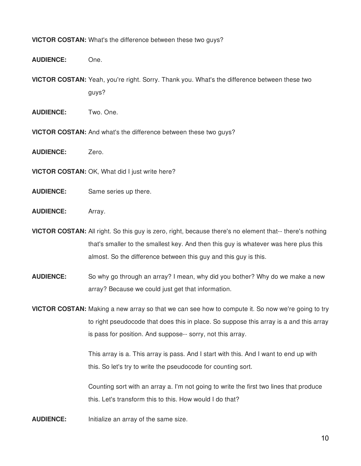### **VICTOR COSTAN:** What's the difference between these two guys?

**AUDIENCE:** One.

**VICTOR COSTAN:** Yeah, you're right. Sorry. Thank you. What's the difference between these two guys?

- **AUDIENCE:** Two. One.
- **VICTOR COSTAN:** And what's the difference between these two guys?
- **AUDIENCE:** Zero.
- **VICTOR COSTAN:** OK, What did I just write here?
- **AUDIENCE:** Same series up there.
- **AUDIENCE:** Array.

**VICTOR COSTAN:** All right. So this guy is zero, right, because there's no element that-- there's nothing that's smaller to the smallest key. And then this guy is whatever was here plus this almost. So the difference between this guy and this guy is this.

**AUDIENCE:** So why go through an array? I mean, why did you bother? Why do we make a new array? Because we could just get that information.

**VICTOR COSTAN:** Making a new array so that we can see how to compute it. So now we're going to try to right pseudocode that does this in place. So suppose this array is a and this array is pass for position. And suppose-- sorry, not this array.

> This array is a. This array is pass. And I start with this. And I want to end up with this. So let's try to write the pseudocode for counting sort.

Counting sort with an array a. I'm not going to write the first two lines that produce this. Let's transform this to this. How would I do that?

**AUDIENCE:** Initialize an array of the same size.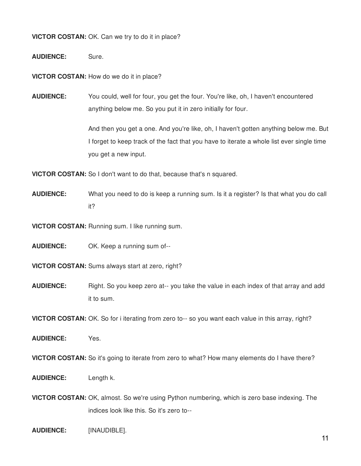**VICTOR COSTAN:** OK. Can we try to do it in place?

**AUDIENCE:** Sure.

**VICTOR COSTAN:** How do we do it in place?

**AUDIENCE:** You could, well for four, you get the four. You're like, oh, I haven't encountered anything below me. So you put it in zero initially for four.

> And then you get a one. And you're like, oh, I haven't gotten anything below me. But I forget to keep track of the fact that you have to iterate a whole list ever single time you get a new input.

**VICTOR COSTAN:** So I don't want to do that, because that's n squared.

**AUDIENCE:** What you need to do is keep a running sum. Is it a register? Is that what you do call it?

**VICTOR COSTAN:** Running sum. I like running sum.

**AUDIENCE:** OK. Keep a running sum of--

**VICTOR COSTAN:** Sums always start at zero, right?

**AUDIENCE:** Right. So you keep zero at-- you take the value in each index of that array and add it to sum.

**VICTOR COSTAN:** OK. So for i iterating from zero to-- so you want each value in this array, right?

**AUDIENCE:** Yes.

**VICTOR COSTAN:** So it's going to iterate from zero to what? How many elements do I have there?

- **AUDIENCE:** Length k.
- **VICTOR COSTAN:** OK, almost. So we're using Python numbering, which is zero base indexing. The indices look like this. So it's zero to--
- **AUDIENCE:** [INAUDIBLE].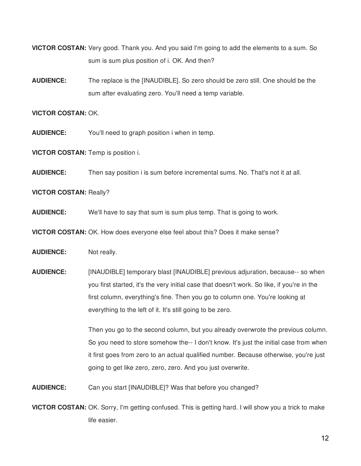**VICTOR COSTAN:** Very good. Thank you. And you said I'm going to add the elements to a sum. So sum is sum plus position of i. OK. And then?

**AUDIENCE:** The replace is the [INAUDIBLE]. So zero should be zero still. One should be the sum after evaluating zero. You'll need a temp variable.

#### **VICTOR COSTAN:** OK.

- **AUDIENCE:** You'll need to graph position i when in temp.
- **VICTOR COSTAN:** Temp is position i.
- **AUDIENCE:** Then say position i is sum before incremental sums. No. That's not it at all.
- **VICTOR COSTAN:** Really?
- **AUDIENCE:** We'll have to say that sum is sum plus temp. That is going to work.
- **VICTOR COSTAN:** OK. How does everyone else feel about this? Does it make sense?
- **AUDIENCE:** Not really.
- **AUDIENCE:** [INAUDIBLE] temporary blast [INAUDIBLE] previous adjuration, because-- so when you first started, it's the very initial case that doesn't work. So like, if you're in the first column, everything's fine. Then you go to column one. You're looking at everything to the left of it. It's still going to be zero.

Then you go to the second column, but you already overwrote the previous column. So you need to store somehow the-- I don't know. It's just the initial case from when it first goes from zero to an actual qualified number. Because otherwise, you're just going to get like zero, zero, zero. And you just overwrite.

- **AUDIENCE:** Can you start [INAUDIBLE]? Was that before you changed?
- **VICTOR COSTAN:** OK. Sorry, I'm getting confused. This is getting hard. I will show you a trick to make life easier.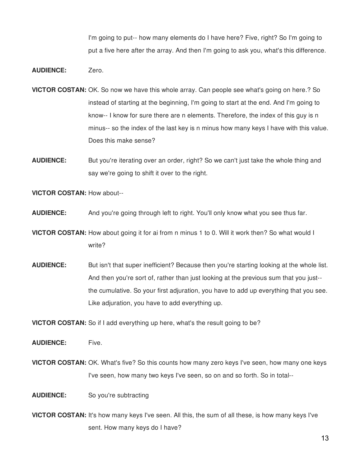I'm going to put-- how many elements do I have here? Five, right? So I'm going to put a five here after the array. And then I'm going to ask you, what's this difference.

- **AUDIENCE:** Zero.
- **VICTOR COSTAN:** OK. So now we have this whole array. Can people see what's going on here.? So instead of starting at the beginning, I'm going to start at the end. And I'm going to know-- I know for sure there are n elements. Therefore, the index of this guy is n minus-- so the index of the last key is n minus how many keys I have with this value. Does this make sense?
- **AUDIENCE:** But you're iterating over an order, right? So we can't just take the whole thing and say we're going to shift it over to the right.

**VICTOR COSTAN:** How about--

- **AUDIENCE:** And you're going through left to right. You'll only know what you see thus far.
- **VICTOR COSTAN:** How about going it for ai from n minus 1 to 0. Will it work then? So what would I write?
- **AUDIENCE:** But isn't that super inefficient? Because then you're starting looking at the whole list. And then you're sort of, rather than just looking at the previous sum that you just- the cumulative. So your first adjuration, you have to add up everything that you see. Like adjuration, you have to add everything up.

**VICTOR COSTAN:** So if I add everything up here, what's the result going to be?

AUDIENCE: Five.

- **VICTOR COSTAN:** OK. What's five? So this counts how many zero keys I've seen, how many one keys I've seen, how many two keys I've seen, so on and so forth. So in total--
- **AUDIENCE:** So you're subtracting
- **VICTOR COSTAN:** It's how many keys I've seen. All this, the sum of all these, is how many keys I've sent. How many keys do I have?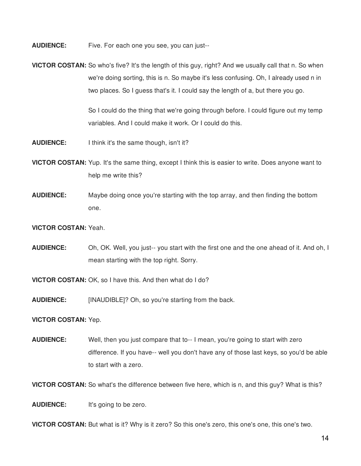**AUDIENCE:** Five. For each one you see, you can just--

**VICTOR COSTAN:** So who's five? It's the length of this guy, right? And we usually call that n. So when we're doing sorting, this is n. So maybe it's less confusing. Oh, I already used n in two places. So I guess that's it. I could say the length of a, but there you go.

> So I could do the thing that we're going through before. I could figure out my temp variables. And I could make it work. Or I could do this.

- **AUDIENCE:** I think it's the same though, isn't it?
- **VICTOR COSTAN:** Yup. It's the same thing, except I think this is easier to write. Does anyone want to help me write this?
- **AUDIENCE:** Maybe doing once you're starting with the top array, and then finding the bottom one.
- **VICTOR COSTAN:** Yeah.
- **AUDIENCE:** Oh, OK. Well, you just-- you start with the first one and the one ahead of it. And oh, I mean starting with the top right. Sorry.

**VICTOR COSTAN:** OK, so I have this. And then what do I do?

**AUDIENCE:** [INAUDIBLE]? Oh, so you're starting from the back.

**VICTOR COSTAN:** Yep.

**AUDIENCE:** Well, then you just compare that to-- I mean, you're going to start with zero difference. If you have-- well you don't have any of those last keys, so you'd be able to start with a zero.

**VICTOR COSTAN:** So what's the difference between five here, which is n, and this guy? What is this?

**AUDIENCE:** It's going to be zero.

**VICTOR COSTAN:** But what is it? Why is it zero? So this one's zero, this one's one, this one's two.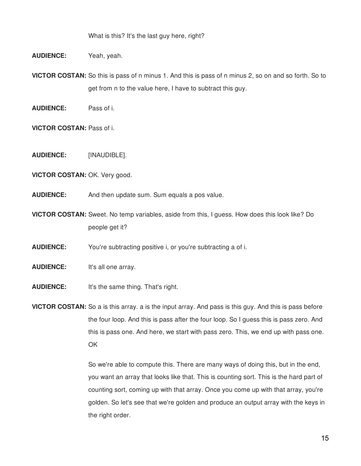What is this? It's the last guy here, right?

**AUDIENCE:** Yeah, yeah.

**VICTOR COSTAN:** So this is pass of n minus 1. And this is pass of n minus 2, so on and so forth. So to get from n to the value here, I have to subtract this guy.

**AUDIENCE:** Pass of i.

**VICTOR COSTAN:** Pass of i.

**AUDIENCE:** [INAUDIBLE].

**VICTOR COSTAN:** OK. Very good.

**AUDIENCE:** And then update sum. Sum equals a pos value.

**VICTOR COSTAN:** Sweet. No temp variables, aside from this, I guess. How does this look like? Do people get it?

**AUDIENCE:** You're subtracting positive i, or you're subtracting a of i.

- **AUDIENCE:** It's all one array.
- **AUDIENCE:** It's the same thing. That's right.

**VICTOR COSTAN:** So a is this array. a is the input array. And pass is this guy. And this is pass before the four loop. And this is pass after the four loop. So I guess this is pass zero. And this is pass one. And here, we start with pass zero. This, we end up with pass one. OK

> So we're able to compute this. There are many ways of doing this, but in the end, you want an array that looks like that. This is counting sort. This is the hard part of counting sort, coming up with that array. Once you come up with that array, you're golden. So let's see that we're golden and produce an output array with the keys in the right order.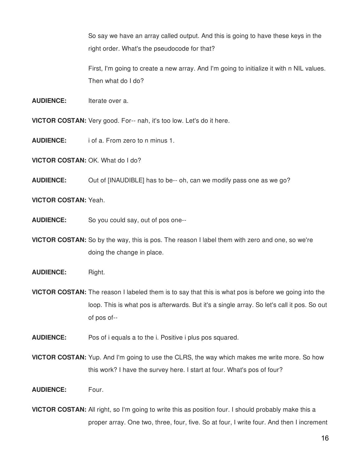So say we have an array called output. And this is going to have these keys in the right order. What's the pseudocode for that?

First, I'm going to create a new array. And I'm going to initialize it with n NIL values. Then what do I do?

**AUDIENCE:** Iterate over a.

**VICTOR COSTAN:** Very good. For-- nah, it's too low. Let's do it here.

**AUDIENCE:** i of a. From zero to n minus 1.

**VICTOR COSTAN:** OK. What do I do?

**AUDIENCE:** Out of [INAUDIBLE] has to be-- oh, can we modify pass one as we go?

**VICTOR COSTAN:** Yeah.

**AUDIENCE:** So you could say, out of pos one--

**VICTOR COSTAN:** So by the way, this is pos. The reason I label them with zero and one, so we're doing the change in place.

**AUDIENCE:** Right.

**VICTOR COSTAN:** The reason I labeled them is to say that this is what pos is before we going into the loop. This is what pos is afterwards. But it's a single array. So let's call it pos. So out of pos of--

**AUDIENCE:** Pos of i equals a to the i. Positive i plus pos squared.

**VICTOR COSTAN:** Yup. And I'm going to use the CLRS, the way which makes me write more. So how this work? I have the survey here. I start at four. What's pos of four?

**AUDIENCE:** Four.

**VICTOR COSTAN:** All right, so I'm going to write this as position four. I should probably make this a proper array. One two, three, four, five. So at four, I write four. And then I increment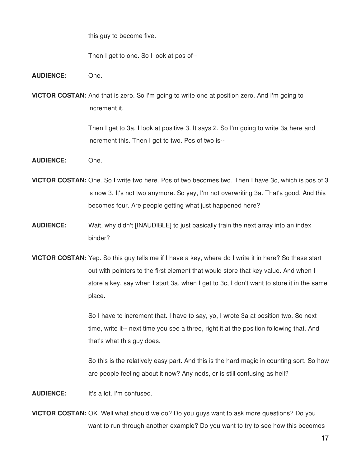this guy to become five.

Then I get to one. So I look at pos of--

**AUDIENCE:** One.

**VICTOR COSTAN:** And that is zero. So I'm going to write one at position zero. And I'm going to increment it.

> Then I get to 3a. I look at positive 3. It says 2. So I'm going to write 3a here and increment this. Then I get to two. Pos of two is--

- **AUDIENCE:** One.
- **VICTOR COSTAN:** One. So I write two here. Pos of two becomes two. Then I have 3c, which is pos of 3 is now 3. It's not two anymore. So yay, I'm not overwriting 3a. That's good. And this becomes four. Are people getting what just happened here?
- **AUDIENCE:** Wait, why didn't [INAUDIBLE] to just basically train the next array into an index binder?
- **VICTOR COSTAN:** Yep. So this guy tells me if I have a key, where do I write it in here? So these start out with pointers to the first element that would store that key value. And when I store a key, say when I start 3a, when I get to 3c, I don't want to store it in the same place.

So I have to increment that. I have to say, yo, I wrote 3a at position two. So next time, write it-- next time you see a three, right it at the position following that. And that's what this guy does.

So this is the relatively easy part. And this is the hard magic in counting sort. So how are people feeling about it now? Any nods, or is still confusing as hell?

**AUDIENCE:** It's a lot. I'm confused.

**VICTOR COSTAN:** OK. Well what should we do? Do you guys want to ask more questions? Do you want to run through another example? Do you want to try to see how this becomes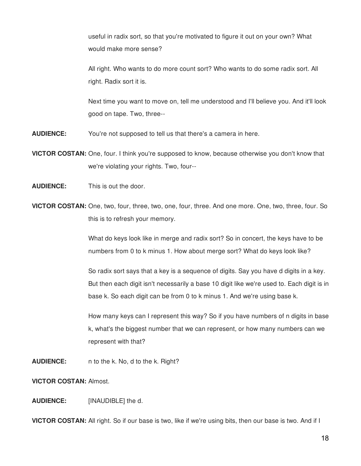useful in radix sort, so that you're motivated to figure it out on your own? What would make more sense?

All right. Who wants to do more count sort? Who wants to do some radix sort. All right. Radix sort it is.

Next time you want to move on, tell me understood and I'll believe you. And it'll look good on tape. Two, three--

- **AUDIENCE:** You're not supposed to tell us that there's a camera in here.
- **VICTOR COSTAN:** One, four. I think you're supposed to know, because otherwise you don't know that we're violating your rights. Two, four--
- **AUDIENCE:** This is out the door.
- **VICTOR COSTAN:** One, two, four, three, two, one, four, three. And one more. One, two, three, four. So this is to refresh your memory.

What do keys look like in merge and radix sort? So in concert, the keys have to be numbers from 0 to k minus 1. How about merge sort? What do keys look like?

So radix sort says that a key is a sequence of digits. Say you have d digits in a key. But then each digit isn't necessarily a base 10 digit like we're used to. Each digit is in base k. So each digit can be from 0 to k minus 1. And we're using base k.

How many keys can I represent this way? So if you have numbers of n digits in base k, what's the biggest number that we can represent, or how many numbers can we represent with that?

**AUDIENCE:** n to the k. No, d to the k. Right?

**VICTOR COSTAN:** Almost.

#### **AUDIENCE:** [INAUDIBLE] the d.

**VICTOR COSTAN:** All right. So if our base is two, like if we're using bits, then our base is two. And if I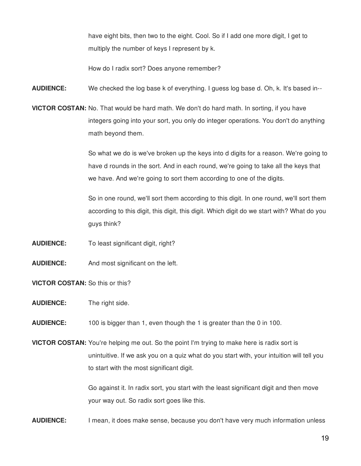have eight bits, then two to the eight. Cool. So if I add one more digit, I get to multiply the number of keys I represent by k.

How do I radix sort? Does anyone remember?

**AUDIENCE:** We checked the log base k of everything. I guess log base d. Oh, k. It's based in--

**VICTOR COSTAN:** No. That would be hard math. We don't do hard math. In sorting, if you have integers going into your sort, you only do integer operations. You don't do anything math beyond them.

> So what we do is we've broken up the keys into d digits for a reason. We're going to have d rounds in the sort. And in each round, we're going to take all the keys that we have. And we're going to sort them according to one of the digits.

> So in one round, we'll sort them according to this digit. In one round, we'll sort them according to this digit, this digit, this digit. Which digit do we start with? What do you guys think?

- **AUDIENCE:** To least significant digit, right?
- **AUDIENCE:** And most significant on the left.

**VICTOR COSTAN:** So this or this?

**AUDIENCE:** The right side.

**AUDIENCE:** 100 is bigger than 1, even though the 1 is greater than the 0 in 100.

**VICTOR COSTAN:** You're helping me out. So the point I'm trying to make here is radix sort is unintuitive. If we ask you on a quiz what do you start with, your intuition will tell you to start with the most significant digit.

> Go against it. In radix sort, you start with the least significant digit and then move your way out. So radix sort goes like this.

**AUDIENCE:** I mean, it does make sense, because you don't have very much information unless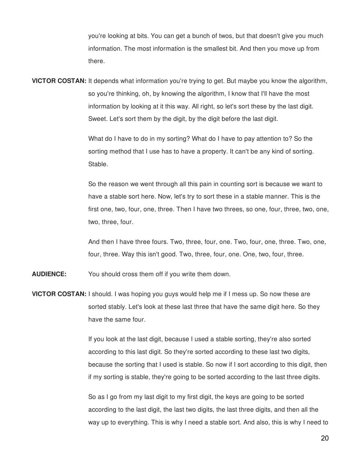you're looking at bits. You can get a bunch of twos, but that doesn't give you much information. The most information is the smallest bit. And then you move up from there.

**VICTOR COSTAN:** It depends what information you're trying to get. But maybe you know the algorithm, so you're thinking, oh, by knowing the algorithm, I know that I'll have the most information by looking at it this way. All right, so let's sort these by the last digit. Sweet. Let's sort them by the digit, by the digit before the last digit.

> What do I have to do in my sorting? What do I have to pay attention to? So the sorting method that I use has to have a property. It can't be any kind of sorting. Stable.

So the reason we went through all this pain in counting sort is because we want to have a stable sort here. Now, let's try to sort these in a stable manner. This is the first one, two, four, one, three. Then I have two threes, so one, four, three, two, one, two, three, four.

And then I have three fours. Two, three, four, one. Two, four, one, three. Two, one, four, three. Way this isn't good. Two, three, four, one. One, two, four, three.

**AUDIENCE:** You should cross them off if you write them down.

**VICTOR COSTAN:** I should. I was hoping you guys would help me if I mess up. So now these are sorted stably. Let's look at these last three that have the same digit here. So they have the same four.

> If you look at the last digit, because I used a stable sorting, they're also sorted according to this last digit. So they're sorted according to these last two digits, because the sorting that I used is stable. So now if I sort according to this digit, then if my sorting is stable, they're going to be sorted according to the last three digits.

> So as I go from my last digit to my first digit, the keys are going to be sorted according to the last digit, the last two digits, the last three digits, and then all the way up to everything. This is why I need a stable sort. And also, this is why I need to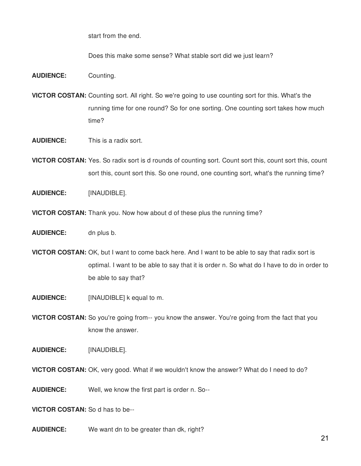start from the end.

Does this make some sense? What stable sort did we just learn?

- **AUDIENCE:** Counting.
- **VICTOR COSTAN:** Counting sort. All right. So we're going to use counting sort for this. What's the running time for one round? So for one sorting. One counting sort takes how much time?
- **AUDIENCE:** This is a radix sort.
- **VICTOR COSTAN:** Yes. So radix sort is d rounds of counting sort. Count sort this, count sort this, count sort this, count sort this. So one round, one counting sort, what's the running time?
- **AUDIENCE:** [INAUDIBLE].
- **VICTOR COSTAN:** Thank you. Now how about d of these plus the running time?
- **AUDIENCE:** dn plus b.
- **VICTOR COSTAN:** OK, but I want to come back here. And I want to be able to say that radix sort is optimal. I want to be able to say that it is order n. So what do I have to do in order to be able to say that?
- **AUDIENCE:** [INAUDIBLE] k equal to m.
- **VICTOR COSTAN:** So you're going from-- you know the answer. You're going from the fact that you know the answer.
- **AUDIENCE:** [INAUDIBLE].
- **VICTOR COSTAN:** OK, very good. What if we wouldn't know the answer? What do I need to do?
- **AUDIENCE:** Well, we know the first part is order n. So--

**VICTOR COSTAN:** So d has to be--

**AUDIENCE:** We want dn to be greater than dk, right?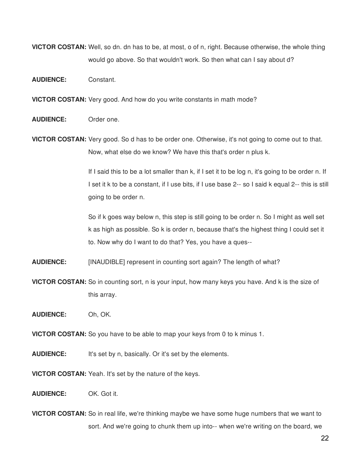**VICTOR COSTAN:** Well, so dn. dn has to be, at most, o of n, right. Because otherwise, the whole thing would go above. So that wouldn't work. So then what can I say about d?

**AUDIENCE:** Constant.

**VICTOR COSTAN:** Very good. And how do you write constants in math mode?

**AUDIENCE:** Order one.

**VICTOR COSTAN:** Very good. So d has to be order one. Otherwise, it's not going to come out to that. Now, what else do we know? We have this that's order n plus k.

> If I said this to be a lot smaller than k, if I set it to be log n, it's going to be order n. If I set it k to be a constant, if I use bits, if I use base 2-- so I said k equal 2-- this is still going to be order n.

So if k goes way below n, this step is still going to be order n. So I might as well set k as high as possible. So k is order n, because that's the highest thing I could set it to. Now why do I want to do that? Yes, you have a ques--

**AUDIENCE:** [INAUDIBLE] represent in counting sort again? The length of what?

**VICTOR COSTAN:** So in counting sort, n is your input, how many keys you have. And k is the size of this array.

**AUDIENCE:** Oh, OK.

**VICTOR COSTAN:** So you have to be able to map your keys from 0 to k minus 1.

**AUDIENCE:** It's set by n, basically. Or it's set by the elements.

**VICTOR COSTAN:** Yeah. It's set by the nature of the keys.

**AUDIENCE:** OK. Got it.

**VICTOR COSTAN:** So in real life, we're thinking maybe we have some huge numbers that we want to sort. And we're going to chunk them up into-- when we're writing on the board, we

22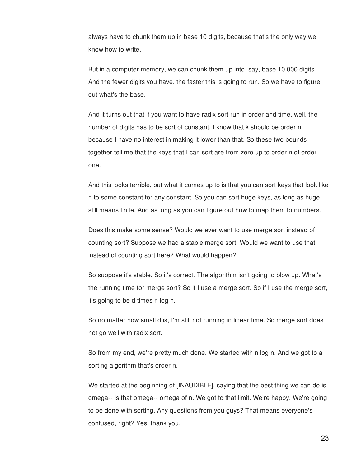always have to chunk them up in base 10 digits, because that's the only way we know how to write.

But in a computer memory, we can chunk them up into, say, base 10,000 digits. And the fewer digits you have, the faster this is going to run. So we have to figure out what's the base.

And it turns out that if you want to have radix sort run in order and time, well, the number of digits has to be sort of constant. I know that k should be order n, because I have no interest in making it lower than that. So these two bounds together tell me that the keys that I can sort are from zero up to order n of order one.

And this looks terrible, but what it comes up to is that you can sort keys that look like n to some constant for any constant. So you can sort huge keys, as long as huge still means finite. And as long as you can figure out how to map them to numbers.

Does this make some sense? Would we ever want to use merge sort instead of counting sort? Suppose we had a stable merge sort. Would we want to use that instead of counting sort here? What would happen?

So suppose it's stable. So it's correct. The algorithm isn't going to blow up. What's the running time for merge sort? So if I use a merge sort. So if I use the merge sort, it's going to be d times n log n.

So no matter how small d is, I'm still not running in linear time. So merge sort does not go well with radix sort.

So from my end, we're pretty much done. We started with n log n. And we got to a sorting algorithm that's order n.

We started at the beginning of [INAUDIBLE], saying that the best thing we can do is omega-- is that omega-- omega of n. We got to that limit. We're happy. We're going to be done with sorting. Any questions from you guys? That means everyone's confused, right? Yes, thank you.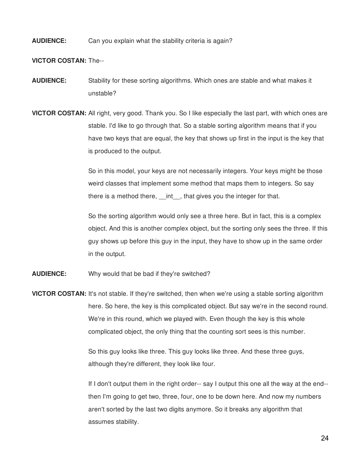### **AUDIENCE:** Can you explain what the stability criteria is again?

**VICTOR COSTAN:** The--

- **AUDIENCE:** Stability for these sorting algorithms. Which ones are stable and what makes it unstable?
- **VICTOR COSTAN:** All right, very good. Thank you. So I like especially the last part, with which ones are stable. I'd like to go through that. So a stable sorting algorithm means that if you have two keys that are equal, the key that shows up first in the input is the key that is produced to the output.

So in this model, your keys are not necessarily integers. Your keys might be those weird classes that implement some method that maps them to integers. So say there is a method there, int, that gives you the integer for that.

So the sorting algorithm would only see a three here. But in fact, this is a complex object. And this is another complex object, but the sorting only sees the three. If this guy shows up before this guy in the input, they have to show up in the same order in the output.

- **AUDIENCE:** Why would that be bad if they're switched?
- **VICTOR COSTAN:** It's not stable. If they're switched, then when we're using a stable sorting algorithm here. So here, the key is this complicated object. But say we're in the second round. We're in this round, which we played with. Even though the key is this whole complicated object, the only thing that the counting sort sees is this number.

So this guy looks like three. This guy looks like three. And these three guys, although they're different, they look like four.

If I don't output them in the right order-- say I output this one all the way at the end- then I'm going to get two, three, four, one to be down here. And now my numbers aren't sorted by the last two digits anymore. So it breaks any algorithm that assumes stability.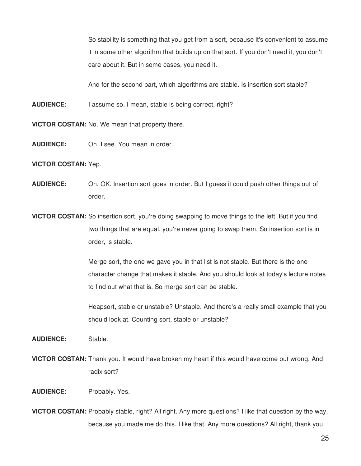So stability is something that you get from a sort, because it's convenient to assume it in some other algorithm that builds up on that sort. If you don't need it, you don't care about it. But in some cases, you need it.

And for the second part, which algorithms are stable. Is insertion sort stable?

**AUDIENCE:** I assume so. I mean, stable is being correct, right?

**VICTOR COSTAN:** No. We mean that property there.

**AUDIENCE:** Oh, I see. You mean in order.

## **VICTOR COSTAN:** Yep.

- **AUDIENCE:** Oh, OK. Insertion sort goes in order. But I guess it could push other things out of order.
- **VICTOR COSTAN:** So insertion sort, you're doing swapping to move things to the left. But if you find two things that are equal, you're never going to swap them. So insertion sort is in order, is stable.

Merge sort, the one we gave you in that list is not stable. But there is the one character change that makes it stable. And you should look at today's lecture notes to find out what that is. So merge sort can be stable.

Heapsort, stable or unstable? Unstable. And there's a really small example that you should look at. Counting sort, stable or unstable?

**AUDIENCE:** Stable.

**VICTOR COSTAN:** Thank you. It would have broken my heart if this would have come out wrong. And radix sort?

# **AUDIENCE:** Probably. Yes.

**VICTOR COSTAN:** Probably stable, right? All right. Any more questions? I like that question by the way, because you made me do this. I like that. Any more questions? All right, thank you